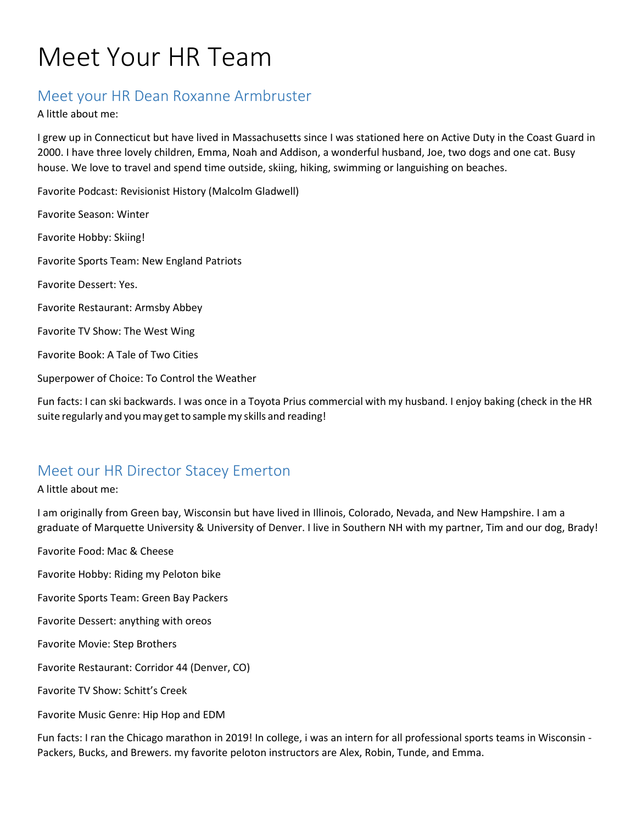# Meet Your HR Team

#### Meet your HR Dean Roxanne Armbruster

A little about me:

I grew up in Connecticut but have lived in Massachusetts since I was stationed here on Active Duty in the Coast Guard in 2000. I have three lovely children, Emma, Noah and Addison, a wonderful husband, Joe, two dogs and one cat. Busy house. We love to travel and spend time outside, skiing, hiking, swimming or languishing on beaches.

Favorite Podcast: Revisionist History (Malcolm Gladwell)

Favorite Season: Winter Favorite Hobby: Skiing! Favorite Sports Team: New England Patriots Favorite Dessert: Yes. Favorite Restaurant: Armsby Abbey Favorite TV Show: The West Wing Favorite Book: A Tale of Two Cities Superpower of Choice: To Control the Weather

Fun facts: I can ski backwards. I was once in a Toyota Prius commercial with my husband. I enjoy baking (check in the HR suite regularly and you may get to sample my skills and reading!

#### Meet our HR Director Stacey Emerton

A little about me:

I am originally from Green bay, Wisconsin but have lived in Illinois, Colorado, Nevada, and New Hampshire. I am a graduate of Marquette University & University of Denver. I live in Southern NH with my partner, Tim and our dog, Brady!

Favorite Food: Mac & Cheese

Favorite Hobby: Riding my Peloton bike

Favorite Sports Team: Green Bay Packers

Favorite Dessert: anything with oreos

Favorite Movie: Step Brothers

Favorite Restaurant: Corridor 44 (Denver, CO)

Favorite TV Show: Schitt's Creek

Favorite Music Genre: Hip Hop and EDM

Fun facts: I ran the Chicago marathon in 2019! In college, i was an intern for all professional sports teams in Wisconsin - Packers, Bucks, and Brewers. my favorite peloton instructors are Alex, Robin, Tunde, and Emma.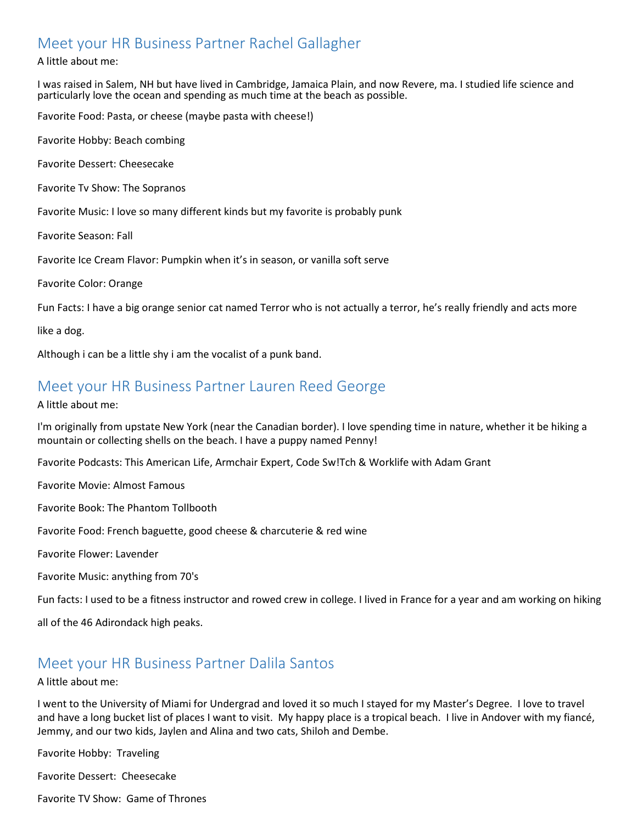### Meet your HR Business Partner Rachel Gallagher

#### A little about me:

I was raised in Salem, NH but have lived in Cambridge, Jamaica Plain, and now Revere, ma. I studied life science and particularly love the ocean and spending as much time at the beach as possible.

Favorite Food: Pasta, or cheese (maybe pasta with cheese!)

Favorite Hobby: Beach combing

Favorite Dessert: Cheesecake

Favorite Tv Show: The Sopranos

Favorite Music: I love so many different kinds but my favorite is probably punk

Favorite Season: Fall

Favorite Ice Cream Flavor: Pumpkin when it's in season, or vanilla soft serve

Favorite Color: Orange

Fun Facts: I have a big orange senior cat named Terror who is not actually a terror, he's really friendly and acts more

like a dog.

Although i can be a little shy i am the vocalist of a punk band.

#### Meet your HR Business Partner Lauren Reed George

A little about me:

I'm originally from upstate New York (near the Canadian border). I love spending time in nature, whether it be hiking a mountain or collecting shells on the beach. I have a puppy named Penny!

Favorite Podcasts: This American Life, Armchair Expert, Code Sw!Tch & Worklife with Adam Grant

Favorite Movie: Almost Famous

Favorite Book: The Phantom Tollbooth

Favorite Food: French baguette, good cheese & charcuterie & red wine

Favorite Flower: Lavender

Favorite Music: anything from 70's

Fun facts: I used to be a fitness instructor and rowed crew in college. I lived in France for a year and am working on hiking

all of the 46 Adirondack high peaks.

#### Meet your HR Business Partner Dalila Santos

#### A little about me:

I went to the University of Miami for Undergrad and loved it so much I stayed for my Master's Degree. I love to travel and have a long bucket list of places I want to visit. My happy place is a tropical beach. I live in Andover with my fiancé, Jemmy, and our two kids, Jaylen and Alina and two cats, Shiloh and Dembe.

Favorite Hobby: Traveling

Favorite Dessert: Cheesecake

Favorite TV Show: Game of Thrones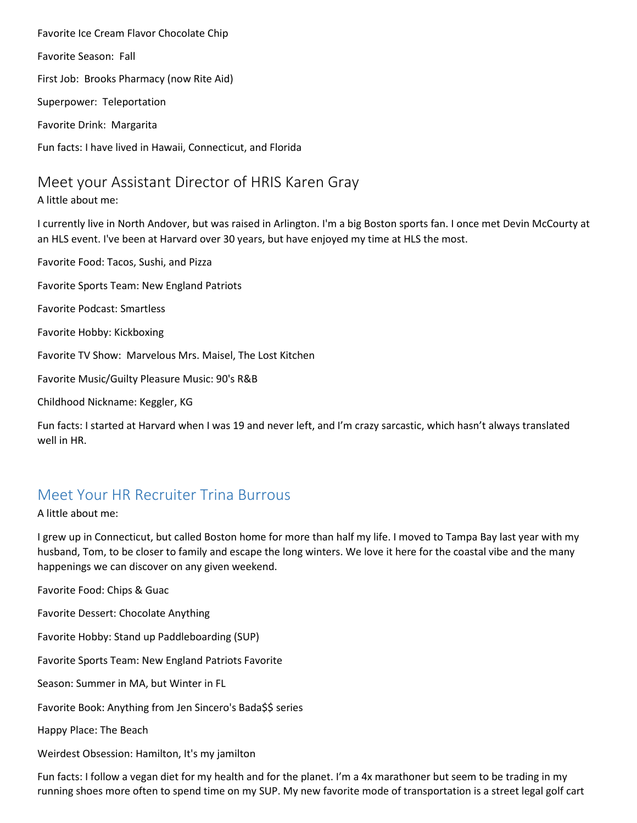Favorite Ice Cream Flavor Chocolate Chip Favorite Season: Fall First Job: Brooks Pharmacy (now Rite Aid) Superpower: Teleportation Favorite Drink: Margarita Fun facts: I have lived in Hawaii, Connecticut, and Florida

#### Meet your Assistant Director of HRIS Karen Gray

A little about me:

I currently live in North Andover, but was raised in Arlington. I'm a big Boston sports fan. I once met Devin McCourty at an HLS event. I've been at Harvard over 30 years, but have enjoyed my time at HLS the most.

Favorite Food: Tacos, Sushi, and Pizza Favorite Sports Team: New England Patriots Favorite Podcast: Smartless Favorite Hobby: Kickboxing Favorite TV Show: Marvelous Mrs. Maisel, The Lost Kitchen Favorite Music/Guilty Pleasure Music: 90's R&B Childhood Nickname: Keggler, KG

Fun facts: I started at Harvard when I was 19 and never left, and I'm crazy sarcastic, which hasn't always translated well in HR.

## Meet Your HR Recruiter Trina Burrous

A little about me:

I grew up in Connecticut, but called Boston home for more than half my life. I moved to Tampa Bay last year with my husband, Tom, to be closer to family and escape the long winters. We love it here for the coastal vibe and the many happenings we can discover on any given weekend.

Favorite Food: Chips & Guac

Favorite Dessert: Chocolate Anything

Favorite Hobby: Stand up Paddleboarding (SUP)

Favorite Sports Team: New England Patriots Favorite

Season: Summer in MA, but Winter in FL

Favorite Book: Anything from Jen Sincero's Bada\$\$ series

Happy Place: The Beach

Weirdest Obsession: Hamilton, It's my jamilton

Fun facts: I follow a vegan diet for my health and for the planet. I'm a 4x marathoner but seem to be trading in my running shoes more often to spend time on my SUP. My new favorite mode of transportation is a street legal golf cart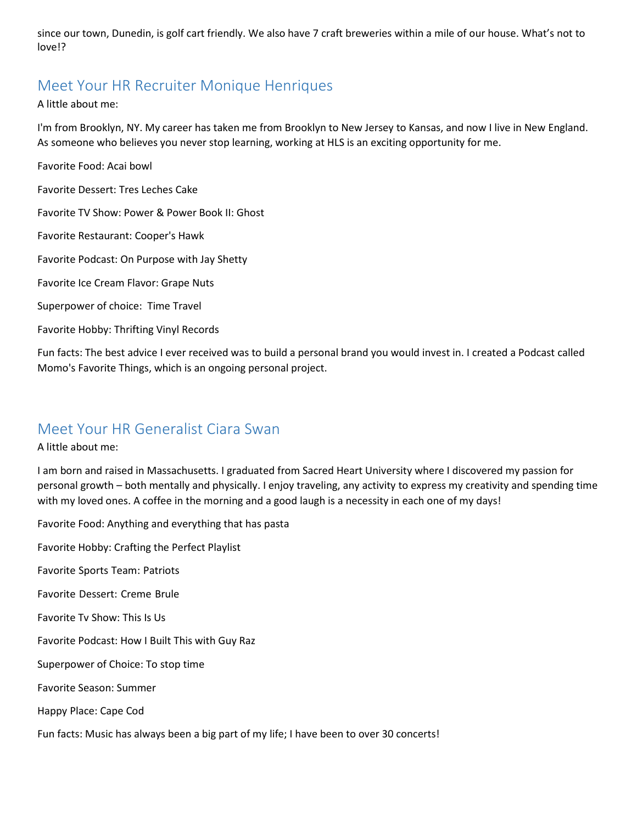since our town, Dunedin, is golf cart friendly. We also have 7 craft breweries within a mile of our house. What's not to love!?

#### Meet Your HR Recruiter Monique Henriques

A little about me:

I'm from Brooklyn, NY. My career has taken me from Brooklyn to New Jersey to Kansas, and now I live in New England. As someone who believes you never stop learning, working at HLS is an exciting opportunity for me.

Favorite Food: Acai bowl

Favorite Dessert: Tres Leches Cake

Favorite TV Show: Power & Power Book II: Ghost

Favorite Restaurant: Cooper's Hawk

Favorite Podcast: On Purpose with Jay Shetty

Favorite Ice Cream Flavor: Grape Nuts

Superpower of choice: Time Travel

Favorite Hobby: Thrifting Vinyl Records

Fun facts: The best advice I ever received was to build a personal brand you would invest in. I created a Podcast called Momo's Favorite Things, which is an ongoing personal project.

#### Meet Your HR Generalist Ciara Swan

A little about me:

I am born and raised in Massachusetts. I graduated from Sacred Heart University where I discovered my passion for personal growth – both mentally and physically. I enjoy traveling, any activity to express my creativity and spending time with my loved ones. A coffee in the morning and a good laugh is a necessity in each one of my days!

Favorite Food: Anything and everything that has pasta Favorite Hobby: Crafting the Perfect Playlist Favorite Sports Team: Patriots Favorite Dessert: Creme Brule Favorite Tv Show: This Is Us Favorite Podcast: How I Built This with Guy Raz Superpower of Choice: To stop time Favorite Season: Summer

Happy Place: Cape Cod

Fun facts: Music has always been a big part of my life; I have been to over 30 concerts!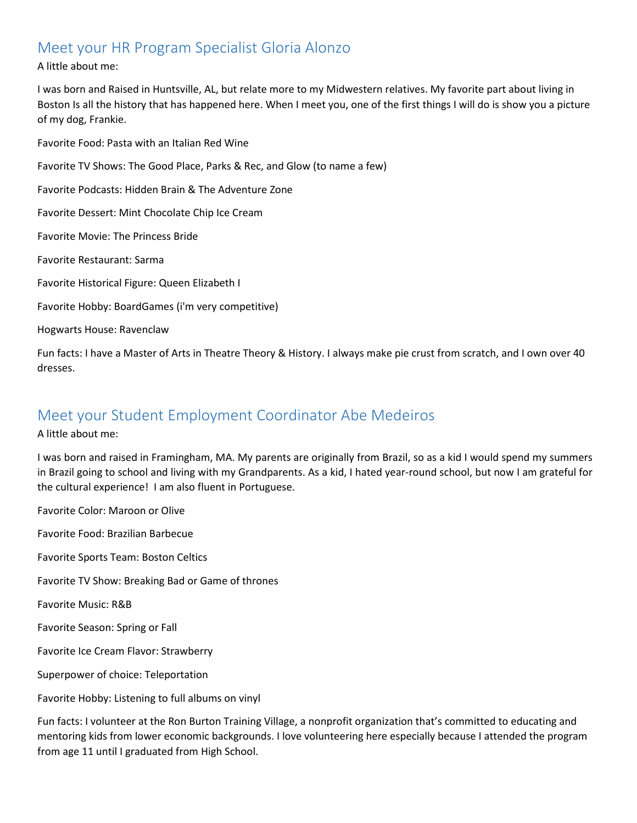#### Meet your HR Program Specialist Gloria Alonzo

#### A little about me:

I was born and Raised in Huntsville, AL, but relate more to my Midwestern relatives. My favorite part about living in Boston Is all the history that has happened here. When I meet you, one of the first things I will do is show you a picture of my dog, Frankie.

Favorite Food: Pasta with an Italian Red Wine Favorite TV Shows: The Good Place, Parks & Rec, and Glow (to name a few) Favorite Podcasts: Hidden Brain & The Adventure Zone Favorite Dessert: Mint Chocolate Chip Ice Cream Favorite Movie: The Princess Bride Favorite Restaurant: Sarma Favorite Historical Figure: Queen Elizabeth I Favorite Hobby: BoardGames (i'm very competitive) Hogwarts House: Ravenclaw

Fun facts: I have a Master of Arts in Theatre Theory & History. I always make pie crust from scratch, and I own over 40 dresses.

#### Meet your Student Employment Coordinator Abe Medeiros

A little about me:

I was born and raised in Framingham, MA. My parents are originally from Brazil, so as a kid I would spend my summers in Brazil going to school and living with my Grandparents. As a kid, I hated year-round school, but now I am grateful for the cultural experience! I am also fluent in Portuguese.

Favorite Color: Maroon or Olive Favorite Food: Brazilian Barbecue Favorite Sports Team: Boston Celtics Favorite TV Show: Breaking Bad or Game of thrones Favorite Music: R&B Favorite Season: Spring or Fall Favorite Ice Cream Flavor: Strawberry Superpower of choice: Teleportation Favorite Hobby: Listening to full albums on vinyl

Fun facts: I volunteer at the Ron Burton Training Village, a nonprofit organization that's committed to educating and mentoring kids from lower economic backgrounds. I love volunteering here especially because I attended the program from age 11 until I graduated from High School.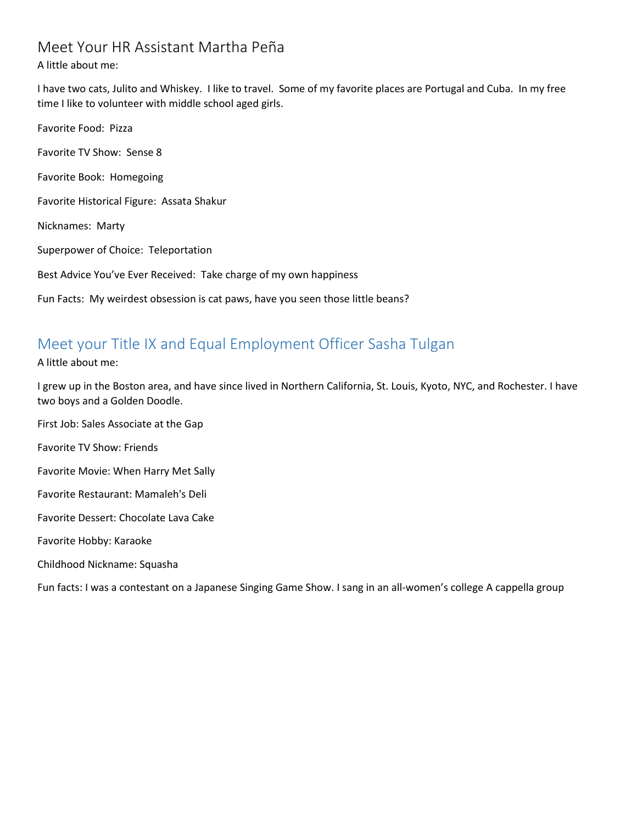### Meet Your HR Assistant Martha Peña

#### A little about me:

I have two cats, Julito and Whiskey. I like to travel. Some of my favorite places are Portugal and Cuba. In my free time I like to volunteer with middle school aged girls.

Favorite Food: Pizza Favorite TV Show: Sense 8 Favorite Book: Homegoing Favorite Historical Figure: Assata Shakur Nicknames: Marty Superpower of Choice: Teleportation Best Advice You've Ever Received: Take charge of my own happiness Fun Facts: My weirdest obsession is cat paws, have you seen those little beans?

## Meet your Title IX and Equal Employment Officer Sasha Tulgan

A little about me:

I grew up in the Boston area, and have since lived in Northern California, St. Louis, Kyoto, NYC, and Rochester. I have two boys and a Golden Doodle.

First Job: Sales Associate at the Gap

Favorite TV Show: Friends

Favorite Movie: When Harry Met Sally

Favorite Restaurant: Mamaleh's Deli

Favorite Dessert: Chocolate Lava Cake

Favorite Hobby: Karaoke

Childhood Nickname: Squasha

Fun facts: I was a contestant on a Japanese Singing Game Show. I sang in an all-women's college A cappella group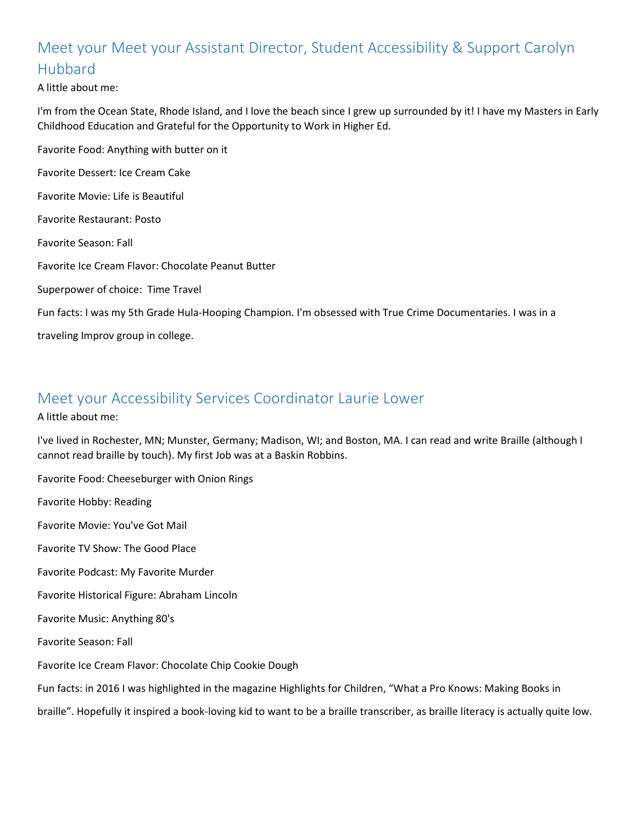## Meet your Meet your Assistant Director, Student Accessibility & Support Carolyn Hubbard

A little about me:

I'm from the Ocean State, Rhode Island, and I love the beach since I grew up surrounded by it! I have my Masters in Early Childhood Education and Grateful for the Opportunity to Work in Higher Ed.

Favorite Food: Anything with butter on it Favorite Dessert: Ice Cream Cake Favorite Movie: Life is Beautiful Favorite Restaurant: Posto Favorite Season: Fall Favorite Ice Cream Flavor: Chocolate Peanut Butter Superpower of choice: Time Travel Fun facts: I was my 5th Grade Hula-Hooping Champion. I'm obsessed with True Crime Documentaries. I was in a traveling Improv group in college.

#### Meet your Accessibility Services Coordinator Laurie Lower

A little about me:

I've lived in Rochester, MN; Munster, Germany; Madison, WI; and Boston, MA. I can read and write Braille (although I cannot read braille by touch). My first Job was at a Baskin Robbins.

Favorite Food: Cheeseburger with Onion Rings Favorite Hobby: Reading Favorite Movie: You've Got Mail Favorite TV Show: The Good Place Favorite Podcast: My Favorite Murder Favorite Historical Figure: Abraham Lincoln Favorite Music: Anything 80's Favorite Season: Fall Favorite Ice Cream Flavor: Chocolate Chip Cookie Dough Fun facts: in 2016 I was highlighted in the magazine Highlights for Children, "What a Pro Knows: Making Books in braille". Hopefully it inspired a book-loving kid to want to be a braille transcriber, as braille literacy is actually quite low.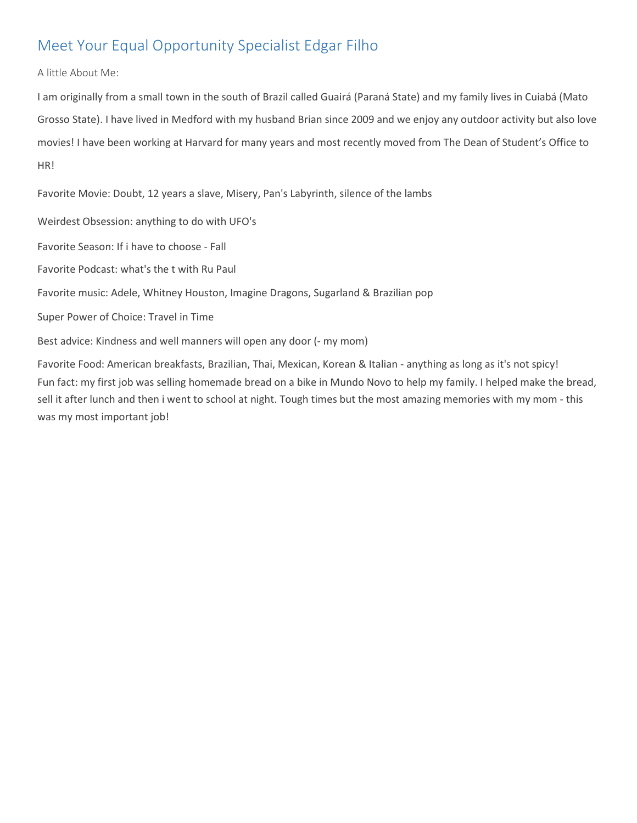## Meet Your Equal Opportunity Specialist Edgar Filho

A little About Me:

I am originally from a small town in the south of Brazil called Guairá (Paraná State) and my family lives in Cuiabá (Mato Grosso State). I have lived in Medford with my husband Brian since 2009 and we enjoy any outdoor activity but also love movies! I have been working at Harvard for many years and most recently moved from The Dean of Student's Office to HR!

Favorite Movie: Doubt, 12 years a slave, Misery, Pan's Labyrinth, silence of the lambs

Weirdest Obsession: anything to do with UFO's

Favorite Season: If i have to choose - Fall

Favorite Podcast: what's the t with Ru Paul

Favorite music: Adele, Whitney Houston, Imagine Dragons, Sugarland & Brazilian pop

Super Power of Choice: Travel in Time

Best advice: Kindness and well manners will open any door (- my mom)

Favorite Food: American breakfasts, Brazilian, Thai, Mexican, Korean & Italian - anything as long as it's not spicy! Fun fact: my first job was selling homemade bread on a bike in Mundo Novo to help my family. I helped make the bread, sell it after lunch and then i went to school at night. Tough times but the most amazing memories with my mom - this was my most important job!